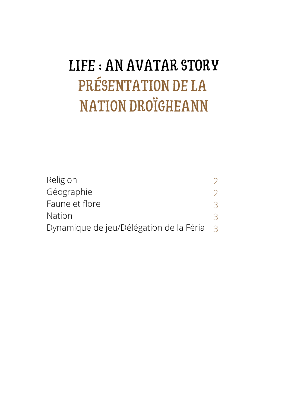# LIFE : AN AVATAR STORY PRÉSENTATION DE LA NATION DROÏGHEANN

| Religion                                |               |
|-----------------------------------------|---------------|
| Géographie                              |               |
| Faune et flore                          | $\prec$       |
| <b>Nation</b>                           |               |
| Dynamique de jeu/Délégation de la Féria | $\mathcal{R}$ |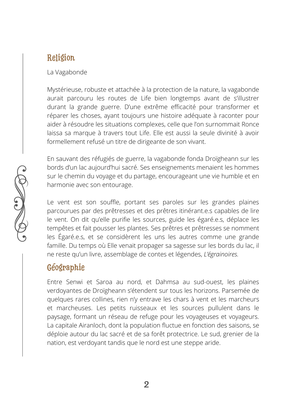# Religion

La Vagabonde

Mystérieuse, robuste et attachée à la protection de la nature, la vagabonde aurait parcouru les routes de Life bien longtemps avant de s'illustrer durant la grande guerre. D'une extrême efficacité pour transformer et réparer les choses, ayant toujours une histoire adéquate à raconter pour aider à résoudre les situations complexes, celle que l'on surnommait Ronce laissa sa marque à travers tout Life. Elle est aussi la seule divinité à avoir formellement refusé un titre de dirigeante de son vivant.

En sauvant des réfugiés de guerre, la vagabonde fonda Droïgheann sur les bords d'un lac aujourd'hui sacré. Ses enseignements menaient les hommes sur le chemin du voyage et du partage, encourageant une vie humble et en harmonie avec son entourage.

Le vent est son souffle, portant ses paroles sur les grandes plaines parcourues par des prêtresses et des prêtres itinérant.e.s capables de lire le vent. On dit qu'elle purifie les sources, guide les égaré.e.s, déplace les tempêtes et fait pousser les plantes. Ses prêtres et prêtresses se nomment les Égaré.e.s, et se considèrent les uns les autres comme une grande famille. Du temps où Elle venait propager sa sagesse sur les bords du lac, il ne reste qu'un livre, assemblage de contes et légendes, *L'égrainoires.*

# Géographie

Entre Senwi et Saroa au nord, et Dahmsa au sud-ouest, les plaines verdoyantes de Droïgheann s'étendent sur tous les horizons. Parsemée de quelques rares collines, rien n'y entrave les chars à vent et les marcheurs et marcheuses. Les petits ruisseaux et les sources pullulent dans le paysage, formant un réseau de refuge pour les voyageuses et voyageurs. La capitale Airanloch, dont la population fluctue en fonction des saisons, se déploie autour du lac sacré et de sa forêt protectrice. Le sud, grenier de la nation, est verdoyant tandis que le nord est une steppe aride.

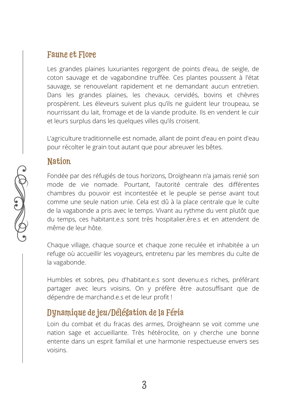#### Faune et Flore

Les grandes plaines luxuriantes regorgent de points d'eau, de seigle, de coton sauvage et de vagabondine truffée. Ces plantes poussent à l'état sauvage, se renouvelant rapidement et ne demandant aucun entretien. Dans les grandes plaines, les chevaux, cervidés, bovins et chèvres prospèrent. Les éleveurs suivent plus qu'ils ne guident leur troupeau, se nourrissant du lait, fromage et de la viande produite. Ils en vendent le cuir et leurs surplus dans les quelques villes qu'ils croisent.

L'agriculture traditionnelle est nomade, allant de point d'eau en point d'eau pour récolter le grain tout autant que pour abreuver les bêtes.

#### Nation

Fondée par des réfugiés de tous horizons, Droïgheann n'a jamais renié son mode de vie nomade. Pourtant, l'autorité centrale des différentes chambres du pouvoir est incontestée et le peuple se pense avant tout comme une seule nation unie. Cela est dû à la place centrale que le culte de la vagabonde a pris avec le temps. Vivant au rythme du vent plutôt que du temps, ces habitant.e.s sont très hospitalier.ère.s et en attendent de même de leur hôte.

Chaque village, chaque source et chaque zone reculée et inhabitée a un refuge où accueillir les voyageurs, entretenu par les membres du culte de la vagabonde.

Humbles et sobres, peu d'habitant.e.s sont devenu.e.s riches, préférant partager avec leurs voisins. On y préfère être autosuffisant que de dépendre de marchand.e.s et de leur profit !

# Dynamique de jeu/Délégation de la Féria

Loin du combat et du fracas des armes, Droïgheann se voit comme une nation sage et accueillante. Très hétéroclite, on y cherche une bonne entente dans un esprit familial et une harmonie respectueuse envers ses voisins.

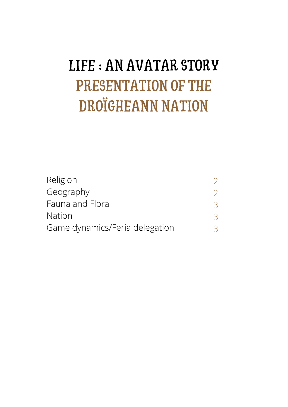# LIFE : AN AVATAR STORY PRESENTATION OF THE DROÏGHEANN NATION

| Religion                       |         |
|--------------------------------|---------|
| Geography                      |         |
| Fauna and Flora                | $\prec$ |
| <b>Nation</b>                  |         |
| Game dynamics/Feria delegation |         |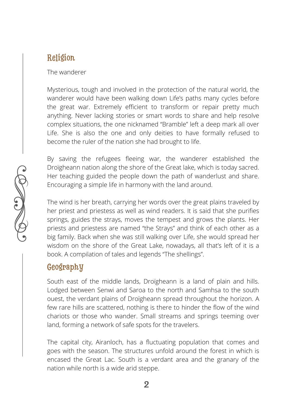### Religion

The wanderer

Mysterious, tough and involved in the protection of the natural world, the wanderer would have been walking down Life's paths many cycles before the great war. Extremely efficient to transform or repair pretty much anything. Never lacking stories or smart words to share and help resolve complex situations, the one nicknamed "Bramble" left a deep mark all over Life. She is also the one and only deities to have formally refused to become the ruler of the nation she had brought to life.

By saving the refugees fleeing war, the wanderer established the Droïgheann nation along the shore of the Great lake, which is today sacred. Her teaching guided the people down the path of wanderlust and share. Encouraging a simple life in harmony with the land around.

The wind is her breath, carrying her words over the great plains traveled by her priest and priestess as well as wind readers. It is said that she purifies springs, guides the strays, moves the tempest and grows the plants. Her priests and priestess are named "the Strays" and think of each other as a big family. Back when she was still walking over Life, she would spread her wisdom on the shore of the Great Lake, nowadays, all that's left of it is a book. A compilation of tales and legends "The shellings".

# **Geography**

South east of the middle lands, Droïgheann is a land of plain and hills. Lodged between Senwi and Saroa to the north and Samhsa to the south ouest, the verdant plains of Droïgheann spread throughout the horizon. A few rare hills are scattered, nothing is there to hinder the flow of the wind chariots or those who wander. Small streams and springs teeming over land, forming a network of safe spots for the travelers.

The capital city, Airanloch, has a fluctuating population that comes and goes with the season. The structures unfold around the forest in which is encased the Great Lac. South is a verdant area and the granary of the nation while north is a wide arid steppe.